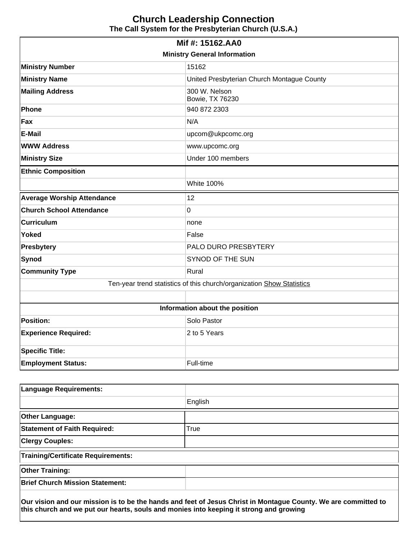# **Church Leadership Connection The Call System for the Presbyterian Church (U.S.A.)**

| <b>Ministry General Information</b>                                   |                                            |  |  |  |
|-----------------------------------------------------------------------|--------------------------------------------|--|--|--|
| <b>Ministry Number</b>                                                | 15162                                      |  |  |  |
| <b>Ministry Name</b>                                                  | United Presbyterian Church Montague County |  |  |  |
| <b>Mailing Address</b>                                                | 300 W. Nelson<br>Bowie, TX 76230           |  |  |  |
| Phone                                                                 | 940 872 2303                               |  |  |  |
| Fax                                                                   | N/A                                        |  |  |  |
| <b>E-Mail</b>                                                         | upcom@ukpcomc.org                          |  |  |  |
| <b>WWW Address</b>                                                    | www.upcomc.org                             |  |  |  |
| <b>Ministry Size</b>                                                  | Under 100 members                          |  |  |  |
| <b>Ethnic Composition</b>                                             |                                            |  |  |  |
|                                                                       | <b>White 100%</b>                          |  |  |  |
| <b>Average Worship Attendance</b>                                     | 12                                         |  |  |  |
| <b>Church School Attendance</b>                                       | 0                                          |  |  |  |
| <b>Curriculum</b>                                                     | none                                       |  |  |  |
| <b>Yoked</b>                                                          | False                                      |  |  |  |
| <b>Presbytery</b>                                                     | PALO DURO PRESBYTERY                       |  |  |  |
| Synod                                                                 | <b>SYNOD OF THE SUN</b>                    |  |  |  |
| <b>Community Type</b>                                                 | Rural                                      |  |  |  |
| Ten-year trend statistics of this church/organization Show Statistics |                                            |  |  |  |
|                                                                       |                                            |  |  |  |
| Information about the position                                        |                                            |  |  |  |
| <b>Position:</b>                                                      | Solo Pastor                                |  |  |  |
| <b>Experience Required:</b>                                           | 2 to 5 Years                               |  |  |  |
| <b>Specific Title:</b>                                                |                                            |  |  |  |
| <b>Employment Status:</b>                                             | Full-time                                  |  |  |  |

| <b>Language Requirements:</b>             |                                                                                                                |
|-------------------------------------------|----------------------------------------------------------------------------------------------------------------|
|                                           | English                                                                                                        |
| <b>Other Language:</b>                    |                                                                                                                |
| <b>Statement of Faith Required:</b>       | True                                                                                                           |
| <b>Clergy Couples:</b>                    |                                                                                                                |
| <b>Training/Certificate Requirements:</b> |                                                                                                                |
| <b>Other Training:</b>                    |                                                                                                                |
| <b>Brief Church Mission Statement:</b>    |                                                                                                                |
|                                           | Our vision and our mission is to be the hands and feet of Jesus Christ in Montague County. We are committed to |

**this church and we put our hearts, souls and monies into keeping it strong and growing**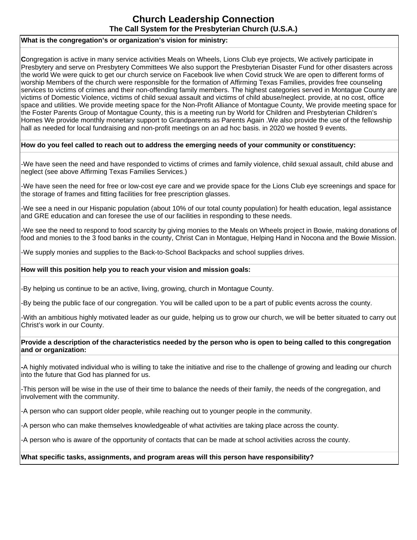# **Church Leadership Connection The Call System for the Presbyterian Church (U.S.A.)**

## **What is the congregation's or organization's vision for ministry:**

**C**ongregation is active in many service activities Meals on Wheels, Lions Club eye projects, We actively participate in Presbytery and serve on Presbytery Committees We also support the Presbyterian Disaster Fund for other disasters across the world We were quick to get our church service on Facebook live when Covid struck We are open to different forms of worship Members of the church were responsible for the formation of Affirming Texas Families, provides free counseling services to victims of crimes and their non-offending family members. The highest categories served in Montague County are victims of Domestic Violence, victims of child sexual assault and victims of child abuse/neglect. provide, at no cost, office space and utilities. We provide meeting space for the Non-Profit Alliance of Montague County, We provide meeting space for the Foster Parents Group of Montague County, this is a meeting run by World for Children and Presbyterian Children's Homes We provide monthly monetary support to Grandparents as Parents Again .We also provide the use of the fellowship hall as needed for local fundraising and non-profit meetings on an ad hoc basis. in 2020 we hosted 9 events.

## **How do you feel called to reach out to address the emerging needs of your community or constituency:**

-We have seen the need and have responded to victims of crimes and family violence, child sexual assault, child abuse and neglect (see above Affirming Texas Families Services.)

-We have seen the need for free or low-cost eye care and we provide space for the Lions Club eye screenings and space for the storage of frames and fitting facilities for free prescription glasses.

-We see a need in our Hispanic population (about 10% of our total county population) for health education, legal assistance and GRE education and can foresee the use of our facilities in responding to these needs.

-We see the need to respond to food scarcity by giving monies to the Meals on Wheels project in Bowie, making donations of food and monies to the 3 food banks in the county, Christ Can in Montague, Helping Hand in Nocona and the Bowie Mission.

-We supply monies and supplies to the Back-to-School Backpacks and school supplies drives.

#### **How will this position help you to reach your vision and mission goals:**

-By helping us continue to be an active, living, growing, church in Montague County.

-By being the public face of our congregation. You will be called upon to be a part of public events across the county.

-With an ambitious highly motivated leader as our guide, helping us to grow our church, we will be better situated to carry out Christ's work in our County.

## **Provide a description of the characteristics needed by the person who is open to being called to this congregation and or organization:**

**-**A highly motivated individual who is willing to take the initiative and rise to the challenge of growing and leading our church into the future that God has planned for us.

-This person will be wise in the use of their time to balance the needs of their family, the needs of the congregation, and involvement with the community.

-A person who can support older people, while reaching out to younger people in the community.

-A person who can make themselves knowledgeable of what activities are taking place across the county.

-A person who is aware of the opportunity of contacts that can be made at school activities across the county.

# **What specific tasks, assignments, and program areas will this person have responsibility?**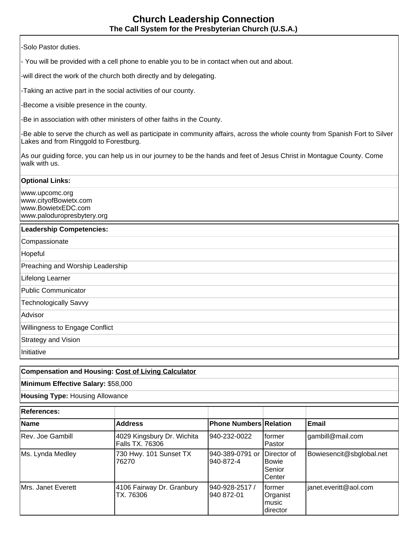-Solo Pastor duties.

- You will be provided with a cell phone to enable you to be in contact when out and about.

-will direct the work of the church both directly and by delegating.

-Taking an active part in the social activities of our county.

-Become a visible presence in the county.

-Be in association with other ministers of other faiths in the County.

-Be able to serve the church as well as participate in community affairs, across the whole county from Spanish Fort to Silver Lakes and from Ringgold to Forestburg.

As our guiding force, you can help us in our journey to be the hands and feet of Jesus Christ in Montague County. Come walk with us.

#### **Optional Links:**

www.upcomc.org www.cityofBowietx.com www.BowietxEDC.com www.paloduropresbytery.org

# **Leadership Competencies:**

**Compassionate** 

Hopeful

Preaching and Worship Leadership

Lifelong Learner

Public Communicator

Technologically Savvy

Advisor

Willingness to Engage Conflict

Strategy and Vision

Initiative

# **Compensation and Housing: [Cost of Living Calculator](http://www.bankrate.com/brm/movecalc.asp)**

# **Minimum Effective Salary:** \$58,000

**Housing Type:** Housing Allowance

| <b>References:</b> |                                               |                                |                                                         |                          |
|--------------------|-----------------------------------------------|--------------------------------|---------------------------------------------------------|--------------------------|
| Name               | Address                                       | <b>Phone Numbers Relation</b>  |                                                         | <b>Email</b>             |
| Rev. Joe Gambill   | 4029 Kingsbury Dr. Wichita<br>Falls TX. 76306 | 940-232-0022                   | Iformer<br>Pastor                                       | gambill@mail.com         |
| Ms. Lynda Medley   | 730 Hwy. 101 Sunset TX<br>76270               | 1940-389-0791 or<br>1940-872-4 | <b>IDirector</b> of<br><b>Bowie</b><br>Senior<br>Center | Bowiesencit@sbglobal.net |
| Mrs. Janet Everett | 4106 Fairway Dr. Granbury<br>TX. 76306        | 940-928-2517 /<br>l940 872-01  | Iformer<br>Organist<br>music<br>director                | janet.everitt@aol.com    |